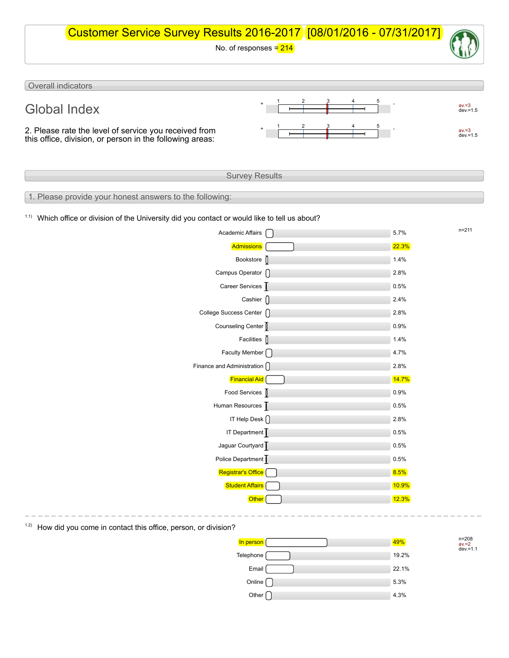## Customer Service Survey Results 2016-2017 [08/01/2016 - 07/31/2017]

No. of responses  $= 214$ 



n=208 av.=2 dev.=1.1



 $1.2$ ) How did you come in contact this office, person, or division?

Career Services **T** 2008 0.5%

College Success Center  $\bigcap$ Counseling Center  $\overline{0}$  0.9%

Finance and Administration  $\bigcap$ 

Cashier  $\bigcap$  2.4%

Facilities  $\int$  1.4% Faculty Member  $\bigcap$  4.7%

Financial Aid **14.7%** Food Services  $\sqrt{ }$  0.9% Human Resources  $\overline{1}$  **Exercía de la contracteur de la contracteur de la contracteur de la contracteur de la contracteur de la contracteur de la contracteur de la contracteur de la contracteur de la contracteur de la co** IT Help Desk  $\bigcap$  2.8% IT Department 1 0.5% Jaguar Courtyard **1** and 1 and 1 and 1 and 1 and 1 and 1 and 1 and 1 and 1 and 1 and 1 and 1 and 1 and 1 and 1 and 1 and 1 and 1 and 1 and 1 and 1 and 1 and 1 and 1 and 1 and 1 and 1 and 1 and 1 and 1 and 1 and 1 and 1 and Police Department 1 0.5% Registrar's Office **1988** Student Affairs **10.9%** 

Other 12.3%

**In person 1999** Telephone 19.2% Email 22.1% Online  $\bigcap$  5.3% Other  $\bigcap$  4.3%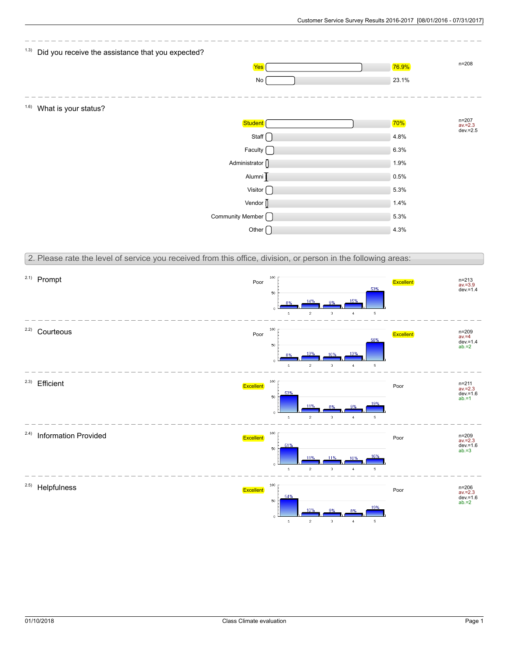